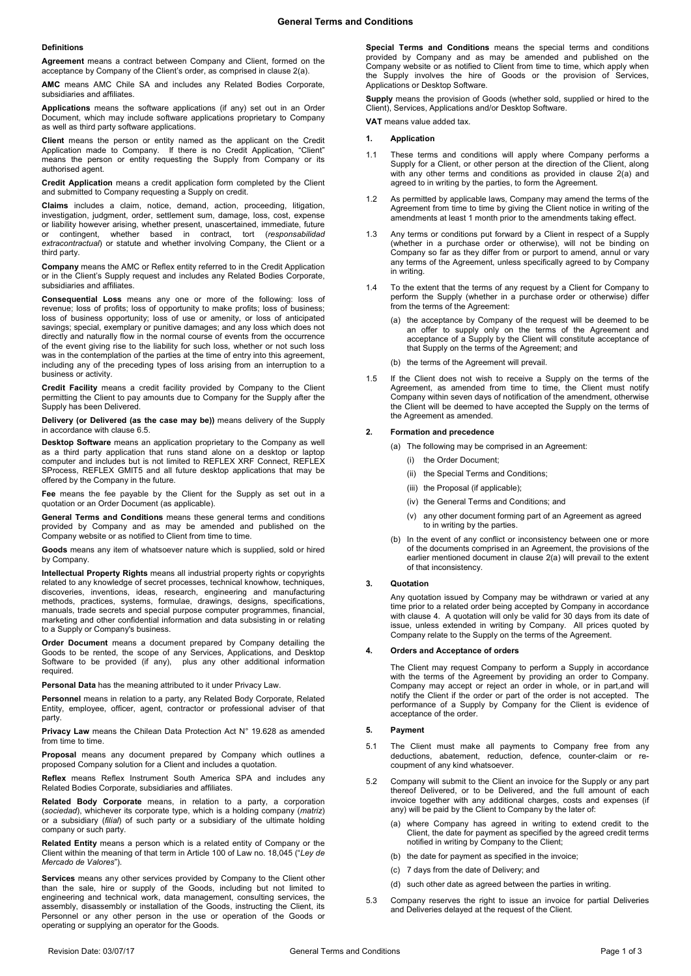#### **Definitions**

**Agreement** means a contract between Company and Client, formed on the acceptance by Company of the Client's order, as comprised in claus[e 2\(a\).](#page-0-0)

**AMC** means AMC Chile SA and includes any Related Bodies Corporate, subsidiaries and affiliates.

**Applications** means the software applications (if any) set out in an Order Document, which may include software applications proprietary to Company as well as third party software applications.

**Client** means the person or entity named as the applicant on the Credit Application made to Company. If there is no Credit Application, "Client" means the person or entity requesting the Supply from Company or its authorised agent.

**Credit Application** means a credit application form completed by the Client and submitted to Company requesting a Supply on credit.

**Claims** includes a claim, notice, demand, action, proceeding, litigation, investigation, judgment, order, settlement sum, damage, loss, cost, expense or liability however arising, whether present, unascertained, immediate, future or contingent, whether based in contract, tort (*responsabilidad extracontractual*) or statute and whether involving Company, the Client or a third party.

**Company** means the AMC or Reflex entity referred to in the Credit Application or in the Client's Supply request and includes any Related Bodies Corporate, subsidiaries and affiliates.

**Consequential Loss** means any one or more of the following: loss of revenue; loss of profits; loss of opportunity to make profits; loss of business; loss of business opportunity; loss of use or amenity, or loss of anticipated savings; special, exemplary or punitive damages; and any loss which does not directly and naturally flow in the normal course of events from the occurrence of the event giving rise to the liability for such loss, whether or not such loss was in the contemplation of the parties at the time of entry into this agreement, including any of the preceding types of loss arising from an interruption to a business or activity.

**Credit Facility** means a credit facility provided by Company to the Client permitting the Client to pay amounts due to Company for the Supply after the Supply has been Delivered.

**Delivery (or Delivered (as the case may be))** means delivery of the Supply in accordance with claus[e 6.5.](#page-1-0)

**Desktop Software** means an application proprietary to the Company as well as a third party application that runs stand alone on a desktop or laptop computer and includes but is not limited to REFLEX XRF Connect, REFLEX SProcess, REFLEX GMIT5 and all future desktop applications that may be offered by the Company in the future.

**Fee** means the fee payable by the Client for the Supply as set out in a quotation or an Order Document (as applicable).

**General Terms and Conditions** means these general terms and conditions provided by Company and as may be amended and published on the Company website or as notified to Client from time to time.

**Goods** means any item of whatsoever nature which is supplied, sold or hired by Company.

**Intellectual Property Rights** means all industrial property rights or copyrights related to any knowledge of secret processes, technical knowhow, techniques, discoveries, inventions, ideas, research, engineering and manufacturing methods, practices, systems, formulae, drawings, designs, specifications, manuals, trade secrets and special purpose computer programmes, financial, marketing and other confidential information and data subsisting in or relating to a Supply or Company's business.

**Order Document** means a document prepared by Company detailing the Goods to be rented, the scope of any Services, Applications, and Desktop Software to be provided (if any), plus any other additional information required.

**Personal Data** has the meaning attributed to it under Privacy Law.

**Personnel** means in relation to a party, any Related Body Corporate, Related Entity, employee, officer, agent, contractor or professional adviser of that party.

**Privacy Law** means the Chilean Data Protection Act N° 19.628 as amended from time to time.

**Proposal** means any document prepared by Company which outlines a proposed Company solution for a Client and includes a quotation.

**Reflex** means Reflex Instrument South America SPA and includes any Related Bodies Corporate, subsidiaries and affiliates.

**Related Body Corporate** means, in relation to a party, a corporation (*sociedad*), whichever its corporate type, which is a holding company (*matriz*) or a subsidiary (*filial*) of such party or a subsidiary of the ultimate holding company or such party.

**Related Entity** means a person which is a related entity of Company or the Client within the meaning of that term in Article 100 of Law no. 18,045 ("*Ley de Mercado de Valores*").

**Services** means any other services provided by Company to the Client other than the sale, hire or supply of the Goods, including but not limited to engineering and technical work, data management, consulting services, the assembly, disassembly or installation of the Goods, instructing the Client, its Personnel or any other person in the use or operation of the Goods or operating or supplying an operator for the Goods.

**Special Terms and Conditions** means the special terms and conditions provided by Company and as may be amended and published on the Company website or as notified to Client from time to time, which apply when the Supply involves the hire of Goods or the provision of Services, Applications or Desktop Software.

**Supply** means the provision of Goods (whether sold, supplied or hired to the Client), Services, Applications and/or Desktop Software.

**VAT** means value added tax.

# **1. Application**

- 1.1 These terms and conditions will apply where Company performs a Supply for a Client, or other person at the direction of the Client, along with any other terms and conditions as provided in clause 2(a) and agreed to in writing by the parties, to form the Agreement.
- 1.2 As permitted by applicable laws, Company may amend the terms of the Agreement from time to time by giving the Client notice in writing of the amendments at least 1 month prior to the amendments taking effect.
- 1.3 Any terms or conditions put forward by a Client in respect of a Supply (whether in a purchase order or otherwise), will not be binding on Company so far as they differ from or purport to amend, annul or vary any terms of the Agreement, unless specifically agreed to by Company in writing.
- 1.4 To the extent that the terms of any request by a Client for Company to perform the Supply (whether in a purchase order or otherwise) differ from the terms of the Agreement:
	- (a) the acceptance by Company of the request will be deemed to be an offer to supply only on the terms of the Agreement and acceptance of a Supply by the Client will constitute acceptance of that Supply on the terms of the Agreement; and
	- (b) the terms of the Agreement will prevail.
- 1.5 If the Client does not wish to receive a Supply on the terms of the Agreement, as amended from time to time, the Client must notify Company within seven days of notification of the amendment, otherwise the Client will be deemed to have accepted the Supply on the terms of the Agreement as amended.

#### <span id="page-0-0"></span>**2. Formation and precedence**

- (a) The following may be comprised in an Agreement:
	- (i) the Order Document;
	- (ii) the Special Terms and Conditions;
	- (iii) the Proposal (if applicable);
	- (iv) the General Terms and Conditions; and
	- (v) any other document forming part of an Agreement as agreed to in writing by the parties.
- (b) In the event of any conflict or inconsistency between one or more of the documents comprised in an Agreement, the provisions of the earlier mentioned document in clause [2\(a\)](#page-0-0) will prevail to the extent of that inconsistency.

## **3. Quotation**

Any quotation issued by Company may be withdrawn or varied at any time prior to a related order being accepted by Company in accordance with claus[e 4.](#page-0-1) A quotation will only be valid for 30 days from its date of issue, unless extended in writing by Company. All prices quoted by Company relate to the Supply on the terms of the Agreement.

# <span id="page-0-1"></span>**4. Orders and Acceptance of orders**

The Client may request Company to perform a Supply in accordance with the terms of the Agreement by providing an order to Company. Company may accept or reject an order in whole, or in part,and will notify the Client if the order or part of the order is not accepted. The performance of a Supply by Company for the Client is evidence of acceptance of the order.

### **5. Payment**

- 5.1 The Client must make all payments to Company free from any deductions, abatement, reduction, defence, counter-claim or recoupment of any kind whatsoever.
- 5.2 Company will submit to the Client an invoice for the Supply or any part thereof Delivered, or to be Delivered, and the full amount of each invoice together with any additional charges, costs and expenses (if any) will be paid by the Client to Company by the later of:
	- (a) where Company has agreed in writing to extend credit to the Client, the date for payment as specified by the agreed credit terms notified in writing by Company to the Client;
	- (b) the date for payment as specified in the invoice;
	- (c) 7 days from the date of Delivery; and
	- (d) such other date as agreed between the parties in writing.
- 5.3 Company reserves the right to issue an invoice for partial Deliveries and Deliveries delayed at the request of the Client.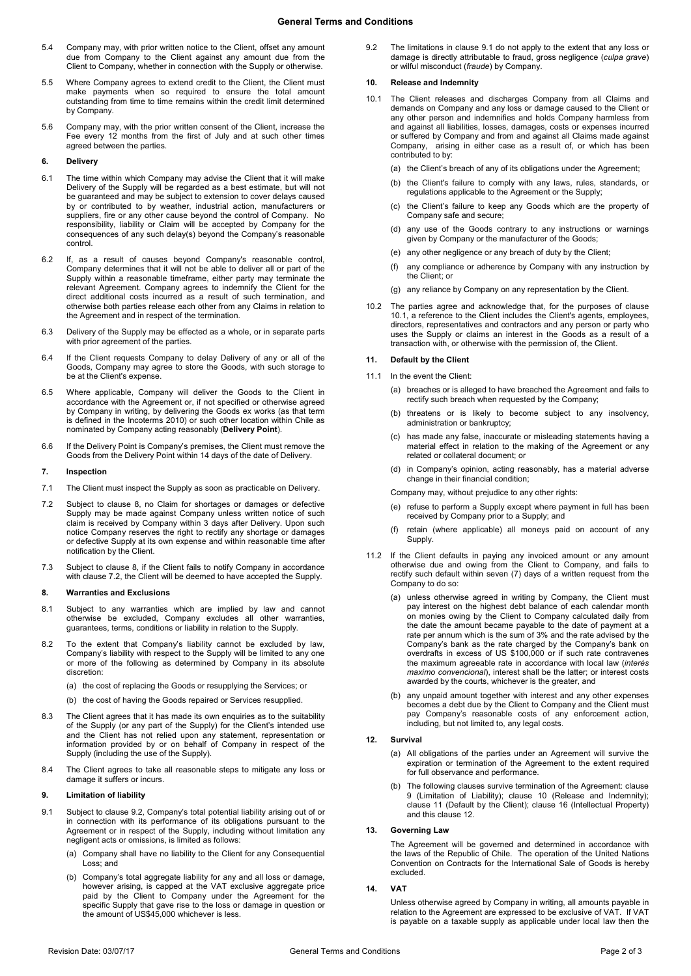# **General Terms and Conditions**

- 5.4 Company may, with prior written notice to the Client, offset any amount due from Company to the Client against any amount due from the Client to Company, whether in connection with the Supply or otherwise.
- 5.5 Where Company agrees to extend credit to the Client, the Client must make payments when so required to ensure the total amount outstanding from time to time remains within the credit limit determined by Company.
- 5.6 Company may, with the prior written consent of the Client, increase the Fee every 12 months from the first of July and at such other times agreed between the parties.

# **6. Delivery**

- 6.1 The time within which Company may advise the Client that it will make Delivery of the Supply will be regarded as a best estimate, but will not be guaranteed and may be subject to extension to cover delays caused by or contributed to by weather, industrial action, manufacturers or suppliers, fire or any other cause beyond the control of Company. No responsibility, liability or Claim will be accepted by Company for the consequences of any such delay(s) beyond the Company's reasonable control.
- 6.2 If, as a result of causes beyond Company's reasonable control, Company determines that it will not be able to deliver all or part of the Supply within a reasonable timeframe, either party may terminate the relevant Agreement. Company agrees to indemnify the Client for the direct additional costs incurred as a result of such termination, and otherwise both parties release each other from any Claims in relation to the Agreement and in respect of the termination.
- 6.3 Delivery of the Supply may be effected as a whole, or in separate parts with prior agreement of the parties
- 6.4 If the Client requests Company to delay Delivery of any or all of the Goods, Company may agree to store the Goods, with such storage to be at the Client's expense.
- <span id="page-1-0"></span>6.5 Where applicable, Company will deliver the Goods to the Client in accordance with the Agreement or, if not specified or otherwise agreed by Company in writing, by delivering the Goods ex works (as that term is defined in the Incoterms 2010) or such other location within Chile as nominated by Company acting reasonably (**Delivery Point**).
- 6.6 If the Delivery Point is Company's premises, the Client must remove the Goods from the Delivery Point within 14 days of the date of Delivery.

#### **7. Inspection**

- 7.1 The Client must inspect the Supply as soon as practicable on Delivery.
- <span id="page-1-2"></span>7.2 Subject to clause [8,](#page-1-1) no Claim for shortages or damages or defective Supply may be made against Company unless written notice of such claim is received by Company within 3 days after Delivery. Upon such notice Company reserves the right to rectify any shortage or damages or defective Supply at its own expense and within reasonable time after notification by the Client.
- 7.3 Subject to clause [8,](#page-1-1) if the Client fails to notify Company in accordance with clause [7.2,](#page-1-2) the Client will be deemed to have accepted the Supply.

#### <span id="page-1-1"></span>**8. Warranties and Exclusions**

- 8.1 Subject to any warranties which are implied by law and cannot otherwise be excluded, Company excludes all other warranties, guarantees, terms, conditions or liability in relation to the Supply.
- 8.2 To the extent that Company's liability cannot be excluded by law, Company's liability with respect to the Supply will be limited to any one or more of the following as determined by Company in its absolute discretion:
	- (a) the cost of replacing the Goods or resupplying the Services; or
	- (b) the cost of having the Goods repaired or Services resupplied.
- 8.3 The Client agrees that it has made its own enquiries as to the suitability of the Supply (or any part of the Supply) for the Client's intended use and the Client has not relied upon any statement, representation or information provided by or on behalf of Company in respect of the Supply (including the use of the Supply).
- 8.4 The Client agrees to take all reasonable steps to mitigate any loss or damage it suffers or incurs.

### <span id="page-1-6"></span>**9. Limitation of liability**

- <span id="page-1-4"></span>9.1 Subject to clause [9.2,](#page-1-3) Company's total potential liability arising out of or in connection with its performance of its obligations pursuant to the Agreement or in respect of the Supply, including without limitation any negligent acts or omissions, is limited as follows:
	- (a) Company shall have no liability to the Client for any Consequential Loss; and
	- (b) Company's total aggregate liability for any and all loss or damage, however arising, is capped at the VAT exclusive aggregate price paid by the Client to Company under the Agreement for the specific Supply that gave rise to the loss or damage in question or the amount of US\$45,000 whichever is less.

<span id="page-1-3"></span>9.2 The limitations in clause [9.1](#page-1-4) do not apply to the extent that any loss or damage is directly attributable to fraud, gross negligence (*culpa grave*) or wilful misconduct (*fraude*) by Company.

## <span id="page-1-7"></span>**10. Release and Indemnity**

- <span id="page-1-5"></span>10.1 The Client releases and discharges Company from all Claims and demands on Company and any loss or damage caused to the Client or any other person and indemnifies and holds Company harmless from and against all liabilities, losses, damages, costs or expenses incurred or suffered by Company and from and against all Claims made against Company, arising in either case as a result of, or which has been contributed to by:
	- (a) the Client's breach of any of its obligations under the Agreement;
	- (b) the Client's failure to comply with any laws, rules, standards, or regulations applicable to the Agreement or the Supply;
	- (c) the Client's failure to keep any Goods which are the property of Company safe and secure;
	- (d) any use of the Goods contrary to any instructions or warnings given by Company or the manufacturer of the Goods;
	- (e) any other negligence or any breach of duty by the Client;
	- (f) any compliance or adherence by Company with any instruction by the Client; or
	- (g) any reliance by Company on any representation by the Client.
- 10.2 The parties agree and acknowledge that, for the purposes of clause [10.1,](#page-1-5) a reference to the Client includes the Client's agents, employees, directors, representatives and contractors and any person or party who uses the Supply or claims an interest in the Goods as a result of a transaction with, or otherwise with the permission of, the Client.

# <span id="page-1-8"></span>**11. Default by the Client**

- 11.1 In the event the Client:
	- (a) breaches or is alleged to have breached the Agreement and fails to rectify such breach when requested by the Company;
	- (b) threatens or is likely to become subject to any insolvency, administration or bankruptcy;
	- (c) has made any false, inaccurate or misleading statements having a material effect in relation to the making of the Agreement or any related or collateral document; or
	- (d) in Company's opinion, acting reasonably, has a material adverse change in their financial condition;

Company may, without prejudice to any other rights:

- (e) refuse to perform a Supply except where payment in full has been received by Company prior to a Supply; and
- retain (where applicable) all moneys paid on account of any Supply.
- 11.2 If the Client defaults in paying any invoiced amount or any amount otherwise due and owing from the Client to Company, and fails to rectify such default within seven (7) days of a written request from the Company to do so:
	- (a) unless otherwise agreed in writing by Company, the Client must pay interest on the highest debt balance of each calendar month on monies owing by the Client to Company calculated daily from the date the amount became payable to the date of payment at a rate per annum which is the sum of 3% and the rate advised by the Company's bank as the rate charged by the Company's bank on overdrafts in excess of US \$100,000 or if such rate contravenes the maximum agreeable rate in accordance with local law (*interés maximo convencional*), interest shall be the latter; or interest costs awarded by the courts, whichever is the greater, and
	- (b) any unpaid amount together with interest and any other expenses becomes a debt due by the Client to Company and the Client must pay Company's reasonable costs of any enforcement action, including, but not limited to, any legal costs.

# <span id="page-1-9"></span>**12. Survival**

- (a) All obligations of the parties under an Agreement will survive the expiration or termination of the Agreement to the extent required for full observance and performance.
- The following clauses survive termination of the Agreement: clause [9](#page-1-6) (Limitation of Liability); clause [10](#page-1-7) (Release and Indemnity); clause [11](#page-1-8) (Default by the Client); clause 16 (Intellectual Property) and this claus[e 12.](#page-1-9)

### **13. Governing Law**

The Agreement will be governed and determined in accordance with the laws of the Republic of Chile. The operation of the United Nations Convention on Contracts for the International Sale of Goods is hereby excluded.

# **14. VAT**

Unless otherwise agreed by Company in writing, all amounts payable in relation to the Agreement are expressed to be exclusive of VAT. If VAT is payable on a taxable supply as applicable under local law then the